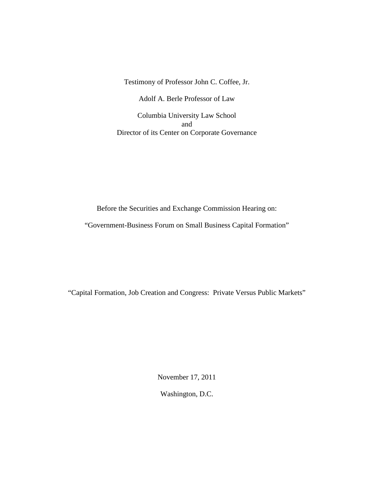Testimony of Professor John C. Coffee, Jr.

Adolf A. Berle Professor of Law

Columbia University Law School and Director of its Center on Corporate Governance

Before the Securities and Exchange Commission Hearing on:

"Government-Business Forum on Small Business Capital Formation"

"Capital Formation, Job Creation and Congress: Private Versus Public Markets"

November 17, 2011

Washington, D.C.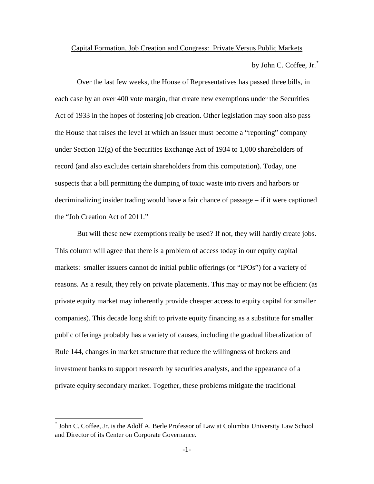# Capital Formation, Job Creation and Congress: Private Versus Public Markets

by John C. Coffee, Jr.[\\*](#page-1-0)

Over the last few weeks, the House of Representatives has passed three bills, in each case by an over 400 vote margin, that create new exemptions under the Securities Act of 1933 in the hopes of fostering job creation. Other legislation may soon also pass the House that raises the level at which an issuer must become a "reporting" company under Section 12(g) of the Securities Exchange Act of 1934 to 1,000 shareholders of record (and also excludes certain shareholders from this computation). Today, one suspects that a bill permitting the dumping of toxic waste into rivers and harbors or decriminalizing insider trading would have a fair chance of passage – if it were captioned the "Job Creation Act of 2011."

But will these new exemptions really be used? If not, they will hardly create jobs. This column will agree that there is a problem of access today in our equity capital markets: smaller issuers cannot do initial public offerings (or "IPOs") for a variety of reasons. As a result, they rely on private placements. This may or may not be efficient (as private equity market may inherently provide cheaper access to equity capital for smaller companies). This decade long shift to private equity financing as a substitute for smaller public offerings probably has a variety of causes, including the gradual liberalization of Rule 144, changes in market structure that reduce the willingness of brokers and investment banks to support research by securities analysts, and the appearance of a private equity secondary market. Together, these problems mitigate the traditional

 $\overline{a}$ 

<span id="page-1-0"></span><sup>\*</sup> John C. Coffee, Jr. is the Adolf A. Berle Professor of Law at Columbia University Law School and Director of its Center on Corporate Governance.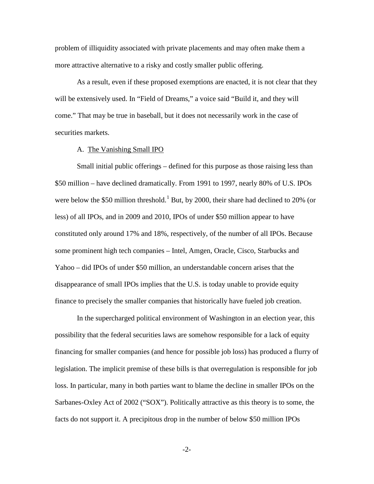problem of illiquidity associated with private placements and may often make them a more attractive alternative to a risky and costly smaller public offering.

As a result, even if these proposed exemptions are enacted, it is not clear that they will be extensively used. In "Field of Dreams," a voice said "Build it, and they will come." That may be true in baseball, but it does not necessarily work in the case of securities markets.

### A. The Vanishing Small IPO

Small initial public offerings – defined for this purpose as those raising less than \$50 million – have declined dramatically. From 1991 to 1997, nearly 80% of U.S. IPOs were below the \$50 million threshold.<sup>[1](#page-16-0)</sup> But, by 2000, their share had declined to 20% (or less) of all IPOs, and in 2009 and 2010, IPOs of under \$50 million appear to have constituted only around 17% and 18%, respectively, of the number of all IPOs. Because some prominent high tech companies – Intel, Amgen, Oracle, Cisco, Starbucks and Yahoo – did IPOs of under \$50 million, an understandable concern arises that the disappearance of small IPOs implies that the U.S. is today unable to provide equity finance to precisely the smaller companies that historically have fueled job creation.

 In the supercharged political environment of Washington in an election year, this possibility that the federal securities laws are somehow responsible for a lack of equity financing for smaller companies (and hence for possible job loss) has produced a flurry of legislation. The implicit premise of these bills is that overregulation is responsible for job loss. In particular, many in both parties want to blame the decline in smaller IPOs on the Sarbanes-Oxley Act of 2002 ("SOX"). Politically attractive as this theory is to some, the facts do not support it. A precipitous drop in the number of below \$50 million IPOs

-2-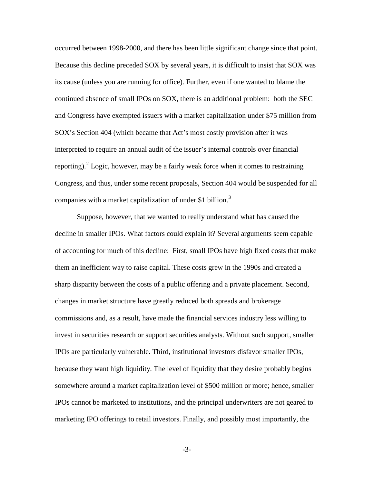occurred between 1998-2000, and there has been little significant change since that point. Because this decline preceded SOX by several years, it is difficult to insist that SOX was its cause (unless you are running for office). Further, even if one wanted to blame the continued absence of small IPOs on SOX, there is an additional problem: both the SEC and Congress have exempted issuers with a market capitalization under \$75 million from SOX's Section 404 (which became that Act's most costly provision after it was interpreted to require an annual audit of the issuer's internal controls over financial reporting).<sup>[2](#page-16-1)</sup> Logic, however, may be a fairly weak force when it comes to restraining Congress, and thus, under some recent proposals, Section 404 would be suspended for all companies with a market capitalization of under \$1 billion.<sup>[3](#page-16-2)</sup>

 Suppose, however, that we wanted to really understand what has caused the decline in smaller IPOs. What factors could explain it? Several arguments seem capable of accounting for much of this decline: First, small IPOs have high fixed costs that make them an inefficient way to raise capital. These costs grew in the 1990s and created a sharp disparity between the costs of a public offering and a private placement. Second, changes in market structure have greatly reduced both spreads and brokerage commissions and, as a result, have made the financial services industry less willing to invest in securities research or support securities analysts. Without such support, smaller IPOs are particularly vulnerable. Third, institutional investors disfavor smaller IPOs, because they want high liquidity. The level of liquidity that they desire probably begins somewhere around a market capitalization level of \$500 million or more; hence, smaller IPOs cannot be marketed to institutions, and the principal underwriters are not geared to marketing IPO offerings to retail investors. Finally, and possibly most importantly, the

-3-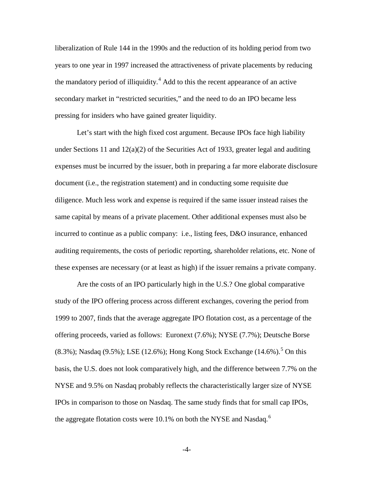liberalization of Rule 144 in the 1990s and the reduction of its holding period from two years to one year in 1997 increased the attractiveness of private placements by reducing the mandatory period of illiquidity.<sup>[4](#page-16-3)</sup> Add to this the recent appearance of an active secondary market in "restricted securities," and the need to do an IPO became less pressing for insiders who have gained greater liquidity.

Let's start with the high fixed cost argument. Because IPOs face high liability under Sections 11 and 12(a)(2) of the Securities Act of 1933, greater legal and auditing expenses must be incurred by the issuer, both in preparing a far more elaborate disclosure document (i.e., the registration statement) and in conducting some requisite due diligence. Much less work and expense is required if the same issuer instead raises the same capital by means of a private placement. Other additional expenses must also be incurred to continue as a public company: i.e., listing fees, D&O insurance, enhanced auditing requirements, the costs of periodic reporting, shareholder relations, etc. None of these expenses are necessary (or at least as high) if the issuer remains a private company.

 Are the costs of an IPO particularly high in the U.S.? One global comparative study of the IPO offering process across different exchanges, covering the period from 1999 to 2007, finds that the average aggregate IPO flotation cost, as a percentage of the offering proceeds, varied as follows: Euronext (7.6%); NYSE (7.7%); Deutsche Borse  $(8.3\%)$ ; Nasdaq  $(9.5\%)$  $(9.5\%)$  $(9.5\%)$ ; LSE  $(12.6\%)$ ; Hong Kong Stock Exchange  $(14.6\%)$ .<sup>5</sup> On this basis, the U.S. does not look comparatively high, and the difference between 7.7% on the NYSE and 9.5% on Nasdaq probably reflects the characteristically larger size of NYSE IPOs in comparison to those on Nasdaq. The same study finds that for small cap IPOs, the aggregate flotation costs were 10.1% on both the NYSE and Nasdaq.<sup>[6](#page-17-0)</sup>

-4-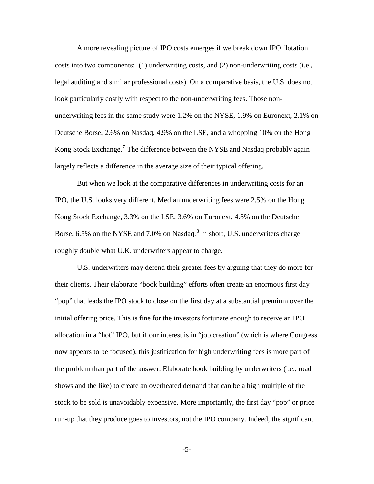A more revealing picture of IPO costs emerges if we break down IPO flotation costs into two components: (1) underwriting costs, and (2) non-underwriting costs (i.e., legal auditing and similar professional costs). On a comparative basis, the U.S. does not look particularly costly with respect to the non-underwriting fees. Those nonunderwriting fees in the same study were 1.2% on the NYSE, 1.9% on Euronext, 2.1% on Deutsche Borse, 2.6% on Nasdaq, 4.9% on the LSE, and a whopping 10% on the Hong Kong Stock Exchange.<sup>[7](#page-17-1)</sup> The difference between the NYSE and Nasdaq probably again largely reflects a difference in the average size of their typical offering.

 But when we look at the comparative differences in underwriting costs for an IPO, the U.S. looks very different. Median underwriting fees were 2.5% on the Hong Kong Stock Exchange, 3.3% on the LSE, 3.6% on Euronext, 4.8% on the Deutsche Borse, 6.5% on the NYSE and 7.0% on Nasdaq.<sup>[8](#page-17-2)</sup> In short, U.S. underwriters charge roughly double what U.K. underwriters appear to charge.

 U.S. underwriters may defend their greater fees by arguing that they do more for their clients. Their elaborate "book building" efforts often create an enormous first day "pop" that leads the IPO stock to close on the first day at a substantial premium over the initial offering price. This is fine for the investors fortunate enough to receive an IPO allocation in a "hot" IPO, but if our interest is in "job creation" (which is where Congress now appears to be focused), this justification for high underwriting fees is more part of the problem than part of the answer. Elaborate book building by underwriters (i.e., road shows and the like) to create an overheated demand that can be a high multiple of the stock to be sold is unavoidably expensive. More importantly, the first day "pop" or price run-up that they produce goes to investors, not the IPO company. Indeed, the significant

-5-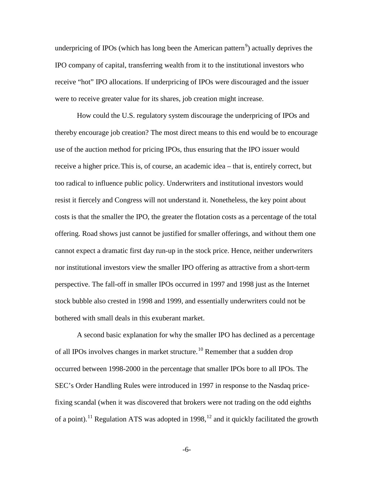underpricing of IPOs (which has long been the American pattern<sup>[9](#page-17-3)</sup>) actually deprives the IPO company of capital, transferring wealth from it to the institutional investors who receive "hot" IPO allocations. If underpricing of IPOs were discouraged and the issuer were to receive greater value for its shares, job creation might increase.

 How could the U.S. regulatory system discourage the underpricing of IPOs and thereby encourage job creation? The most direct means to this end would be to encourage use of the auction method for pricing IPOs, thus ensuring that the IPO issuer would receive a higher price. This is, of course, an academic idea – that is, entirely correct, but too radical to influence public policy. Underwriters and institutional investors would resist it fiercely and Congress will not understand it. Nonetheless, the key point about costs is that the smaller the IPO, the greater the flotation costs as a percentage of the total offering. Road shows just cannot be justified for smaller offerings, and without them one cannot expect a dramatic first day run-up in the stock price. Hence, neither underwriters nor institutional investors view the smaller IPO offering as attractive from a short-term perspective. The fall-off in smaller IPOs occurred in 1997 and 1998 just as the Internet stock bubble also crested in 1998 and 1999, and essentially underwriters could not be bothered with small deals in this exuberant market.

A second basic explanation for why the smaller IPO has declined as a percentage of all IPOs involves changes in market structure.<sup>10</sup> Remember that a sudden drop occurred between 1998-2000 in the percentage that smaller IPOs bore to all IPOs. The SEC's Order Handling Rules were introduced in 1997 in response to the Nasdaq pricefixing scandal (when it was discovered that brokers were not trading on the odd eighths of a point).<sup>11</sup> Regulation ATS was adopted in 1998,<sup>[12](#page-17-6)</sup> and it quickly facilitated the growth

-6-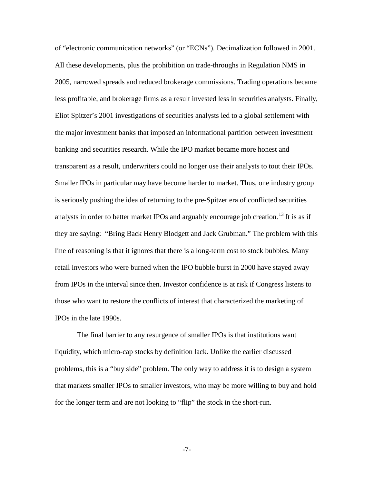of "electronic communication networks" (or "ECNs"). Decimalization followed in 2001. All these developments, plus the prohibition on trade-throughs in Regulation NMS in 2005, narrowed spreads and reduced brokerage commissions. Trading operations became less profitable, and brokerage firms as a result invested less in securities analysts. Finally, Eliot Spitzer's 2001 investigations of securities analysts led to a global settlement with the major investment banks that imposed an informational partition between investment banking and securities research. While the IPO market became more honest and transparent as a result, underwriters could no longer use their analysts to tout their IPOs. Smaller IPOs in particular may have become harder to market. Thus, one industry group is seriously pushing the idea of returning to the pre-Spitzer era of conflicted securities analysts in order to better market IPOs and arguably encourage job creation.<sup>[13](#page-17-7)</sup> It is as if they are saying: "Bring Back Henry Blodgett and Jack Grubman." The problem with this line of reasoning is that it ignores that there is a long-term cost to stock bubbles. Many retail investors who were burned when the IPO bubble burst in 2000 have stayed away from IPOs in the interval since then. Investor confidence is at risk if Congress listens to those who want to restore the conflicts of interest that characterized the marketing of IPOs in the late 1990s.

The final barrier to any resurgence of smaller IPOs is that institutions want liquidity, which micro-cap stocks by definition lack. Unlike the earlier discussed problems, this is a "buy side" problem. The only way to address it is to design a system that markets smaller IPOs to smaller investors, who may be more willing to buy and hold for the longer term and are not looking to "flip" the stock in the short-run.

-7-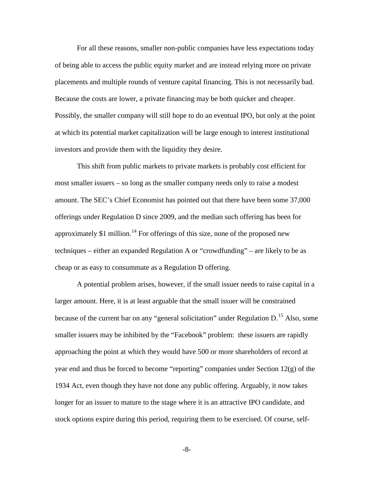For all these reasons, smaller non-public companies have less expectations today of being able to access the public equity market and are instead relying more on private placements and multiple rounds of venture capital financing. This is not necessarily bad. Because the costs are lower, a private financing may be both quicker and cheaper. Possibly, the smaller company will still hope to do an eventual IPO, but only at the point at which its potential market capitalization will be large enough to interest institutional investors and provide them with the liquidity they desire.

This shift from public markets to private markets is probably cost efficient for most smaller issuers – so long as the smaller company needs only to raise a modest amount. The SEC's Chief Economist has pointed out that there have been some 37,000 offerings under Regulation D since 2009, and the median such offering has been for approximately \$1 million.<sup>[14](#page-17-8)</sup> For offerings of this size, none of the proposed new techniques – either an expanded Regulation A or "crowdfunding" – are likely to be as cheap or as easy to consummate as a Regulation D offering.

A potential problem arises, however, if the small issuer needs to raise capital in a larger amount. Here, it is at least arguable that the small issuer will be constrained because of the current bar on any "general solicitation" under Regulation D.<sup>15</sup> Also, some smaller issuers may be inhibited by the "Facebook" problem: these issuers are rapidly approaching the point at which they would have 500 or more shareholders of record at year end and thus be forced to become "reporting" companies under Section 12(g) of the 1934 Act, even though they have not done any public offering. Arguably, it now takes longer for an issuer to mature to the stage where it is an attractive IPO candidate, and stock options expire during this period, requiring them to be exercised. Of course, self-

-8-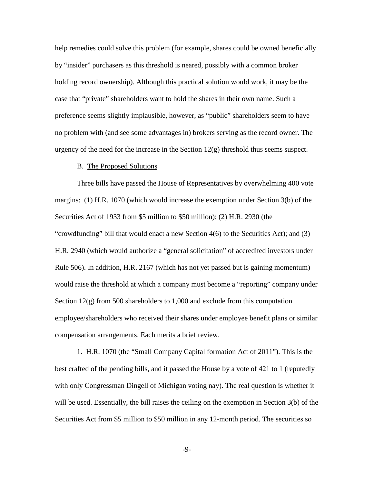help remedies could solve this problem (for example, shares could be owned beneficially by "insider" purchasers as this threshold is neared, possibly with a common broker holding record ownership). Although this practical solution would work, it may be the case that "private" shareholders want to hold the shares in their own name. Such a preference seems slightly implausible, however, as "public" shareholders seem to have no problem with (and see some advantages in) brokers serving as the record owner. The urgency of the need for the increase in the Section  $12(g)$  threshold thus seems suspect.

### B. The Proposed Solutions

Three bills have passed the House of Representatives by overwhelming 400 vote margins: (1) H.R. 1070 (which would increase the exemption under Section 3(b) of the Securities Act of 1933 from \$5 million to \$50 million); (2) H.R. 2930 (the "crowdfunding" bill that would enact a new Section 4(6) to the Securities Act); and (3) H.R. 2940 (which would authorize a "general solicitation" of accredited investors under Rule 506). In addition, H.R. 2167 (which has not yet passed but is gaining momentum) would raise the threshold at which a company must become a "reporting" company under Section  $12(g)$  from 500 shareholders to 1,000 and exclude from this computation employee/shareholders who received their shares under employee benefit plans or similar compensation arrangements. Each merits a brief review.

 1. H.R. 1070 (the "Small Company Capital formation Act of 2011"). This is the best crafted of the pending bills, and it passed the House by a vote of 421 to 1 (reputedly with only Congressman Dingell of Michigan voting nay). The real question is whether it will be used. Essentially, the bill raises the ceiling on the exemption in Section 3(b) of the Securities Act from \$5 million to \$50 million in any 12-month period. The securities so

-9-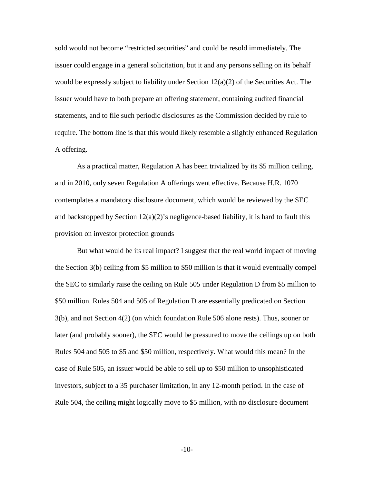sold would not become "restricted securities" and could be resold immediately. The issuer could engage in a general solicitation, but it and any persons selling on its behalf would be expressly subject to liability under Section  $12(a)(2)$  of the Securities Act. The issuer would have to both prepare an offering statement, containing audited financial statements, and to file such periodic disclosures as the Commission decided by rule to require. The bottom line is that this would likely resemble a slightly enhanced Regulation A offering.

As a practical matter, Regulation A has been trivialized by its \$5 million ceiling, and in 2010, only seven Regulation A offerings went effective. Because H.R. 1070 contemplates a mandatory disclosure document, which would be reviewed by the SEC and backstopped by Section  $12(a)(2)$ 's negligence-based liability, it is hard to fault this provision on investor protection grounds

But what would be its real impact? I suggest that the real world impact of moving the Section 3(b) ceiling from \$5 million to \$50 million is that it would eventually compel the SEC to similarly raise the ceiling on Rule 505 under Regulation D from \$5 million to \$50 million. Rules 504 and 505 of Regulation D are essentially predicated on Section 3(b), and not Section 4(2) (on which foundation Rule 506 alone rests). Thus, sooner or later (and probably sooner), the SEC would be pressured to move the ceilings up on both Rules 504 and 505 to \$5 and \$50 million, respectively. What would this mean? In the case of Rule 505, an issuer would be able to sell up to \$50 million to unsophisticated investors, subject to a 35 purchaser limitation, in any 12-month period. In the case of Rule 504, the ceiling might logically move to \$5 million, with no disclosure document

-10-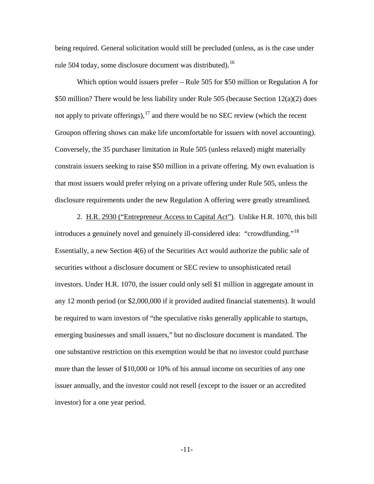being required. General solicitation would still be precluded (unless, as is the case under rule 504 today, some disclosure document was distributed).<sup>[16](#page-17-10)</sup>

 Which option would issuers prefer – Rule 505 for \$50 million or Regulation A for \$50 million? There would be less liability under Rule 505 (because Section 12(a)(2) does not apply to private offerings),  $17$  and there would be no SEC review (which the recent Groupon offering shows can make life uncomfortable for issuers with novel accounting). Conversely, the 35 purchaser limitation in Rule 505 (unless relaxed) might materially constrain issuers seeking to raise \$50 million in a private offering. My own evaluation is that most issuers would prefer relying on a private offering under Rule 505, unless the disclosure requirements under the new Regulation A offering were greatly streamlined.

 2. H.R. 2930 ("Entrepreneur Access to Capital Act"). Unlike H.R. 1070, this bill introduces a genuinely novel and genuinely ill-considered idea: "crowdfunding."<sup>[18](#page-18-0)</sup> Essentially, a new Section 4(6) of the Securities Act would authorize the public sale of securities without a disclosure document or SEC review to unsophisticated retail investors. Under H.R. 1070, the issuer could only sell \$1 million in aggregate amount in any 12 month period (or \$2,000,000 if it provided audited financial statements). It would be required to warn investors of "the speculative risks generally applicable to startups, emerging businesses and small issuers," but no disclosure document is mandated. The one substantive restriction on this exemption would be that no investor could purchase more than the lesser of \$10,000 or 10% of his annual income on securities of any one issuer annually, and the investor could not resell (except to the issuer or an accredited investor) for a one year period.

-11-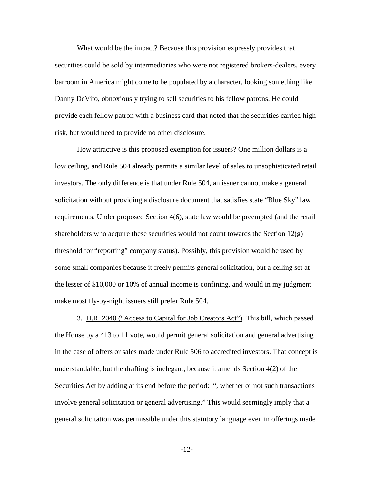What would be the impact? Because this provision expressly provides that securities could be sold by intermediaries who were not registered brokers-dealers, every barroom in America might come to be populated by a character, looking something like Danny DeVito, obnoxiously trying to sell securities to his fellow patrons. He could provide each fellow patron with a business card that noted that the securities carried high risk, but would need to provide no other disclosure.

 How attractive is this proposed exemption for issuers? One million dollars is a low ceiling, and Rule 504 already permits a similar level of sales to unsophisticated retail investors. The only difference is that under Rule 504, an issuer cannot make a general solicitation without providing a disclosure document that satisfies state "Blue Sky" law requirements. Under proposed Section 4(6), state law would be preempted (and the retail shareholders who acquire these securities would not count towards the Section  $12(g)$ threshold for "reporting" company status). Possibly, this provision would be used by some small companies because it freely permits general solicitation, but a ceiling set at the lesser of \$10,000 or 10% of annual income is confining, and would in my judgment make most fly-by-night issuers still prefer Rule 504.

 3. H.R. 2040 ("Access to Capital for Job Creators Act"). This bill, which passed the House by a 413 to 11 vote, would permit general solicitation and general advertising in the case of offers or sales made under Rule 506 to accredited investors. That concept is understandable, but the drafting is inelegant, because it amends Section 4(2) of the Securities Act by adding at its end before the period: ", whether or not such transactions involve general solicitation or general advertising." This would seemingly imply that a general solicitation was permissible under this statutory language even in offerings made

-12-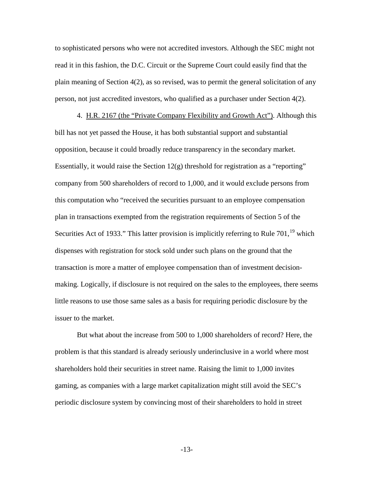to sophisticated persons who were not accredited investors. Although the SEC might not read it in this fashion, the D.C. Circuit or the Supreme Court could easily find that the plain meaning of Section 4(2), as so revised, was to permit the general solicitation of any person, not just accredited investors, who qualified as a purchaser under Section 4(2).

 4. H.R. 2167 (the "Private Company Flexibility and Growth Act"). Although this bill has not yet passed the House, it has both substantial support and substantial opposition, because it could broadly reduce transparency in the secondary market. Essentially, it would raise the Section  $12(g)$  threshold for registration as a "reporting" company from 500 shareholders of record to 1,000, and it would exclude persons from this computation who "received the securities pursuant to an employee compensation plan in transactions exempted from the registration requirements of Section 5 of the Securities Act of [19](#page-18-1)33." This latter provision is implicitly referring to Rule  $701$ ,  $^{19}$  which dispenses with registration for stock sold under such plans on the ground that the transaction is more a matter of employee compensation than of investment decisionmaking. Logically, if disclosure is not required on the sales to the employees, there seems little reasons to use those same sales as a basis for requiring periodic disclosure by the issuer to the market.

 But what about the increase from 500 to 1,000 shareholders of record? Here, the problem is that this standard is already seriously underinclusive in a world where most shareholders hold their securities in street name. Raising the limit to 1,000 invites gaming, as companies with a large market capitalization might still avoid the SEC's periodic disclosure system by convincing most of their shareholders to hold in street

-13-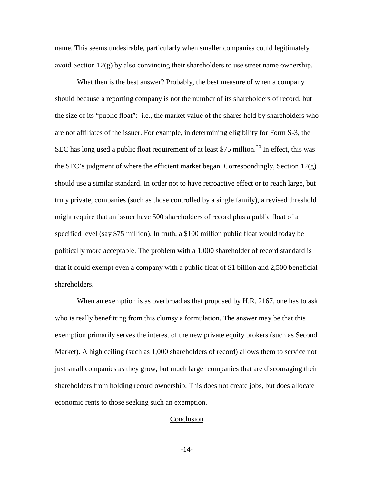name. This seems undesirable, particularly when smaller companies could legitimately avoid Section 12(g) by also convincing their shareholders to use street name ownership.

 What then is the best answer? Probably, the best measure of when a company should because a reporting company is not the number of its shareholders of record, but the size of its "public float": i.e., the market value of the shares held by shareholders who are not affiliates of the issuer. For example, in determining eligibility for Form S-3, the SEC has long used a public float requirement of at least \$75 million.<sup>[20](#page-18-2)</sup> In effect, this was the SEC's judgment of where the efficient market began. Correspondingly, Section 12(g) should use a similar standard. In order not to have retroactive effect or to reach large, but truly private, companies (such as those controlled by a single family), a revised threshold might require that an issuer have 500 shareholders of record plus a public float of a specified level (say \$75 million). In truth, a \$100 million public float would today be politically more acceptable. The problem with a 1,000 shareholder of record standard is that it could exempt even a company with a public float of \$1 billion and 2,500 beneficial shareholders.

When an exemption is as overbroad as that proposed by H.R. 2167, one has to ask who is really benefitting from this clumsy a formulation. The answer may be that this exemption primarily serves the interest of the new private equity brokers (such as Second Market). A high ceiling (such as 1,000 shareholders of record) allows them to service not just small companies as they grow, but much larger companies that are discouraging their shareholders from holding record ownership. This does not create jobs, but does allocate economic rents to those seeking such an exemption.

#### Conclusion

-14-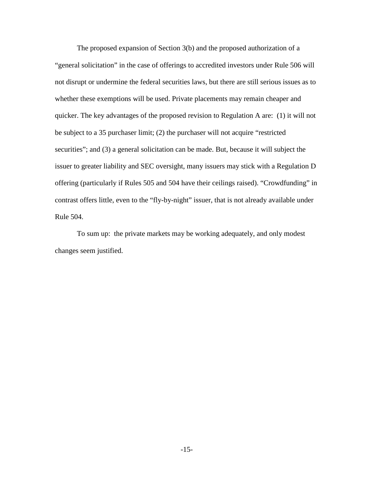The proposed expansion of Section 3(b) and the proposed authorization of a "general solicitation" in the case of offerings to accredited investors under Rule 506 will not disrupt or undermine the federal securities laws, but there are still serious issues as to whether these exemptions will be used. Private placements may remain cheaper and quicker. The key advantages of the proposed revision to Regulation A are: (1) it will not be subject to a 35 purchaser limit; (2) the purchaser will not acquire "restricted securities"; and (3) a general solicitation can be made. But, because it will subject the issuer to greater liability and SEC oversight, many issuers may stick with a Regulation D offering (particularly if Rules 505 and 504 have their ceilings raised). "Crowdfunding" in contrast offers little, even to the "fly-by-night" issuer, that is not already available under Rule 504.

 To sum up: the private markets may be working adequately, and only modest changes seem justified.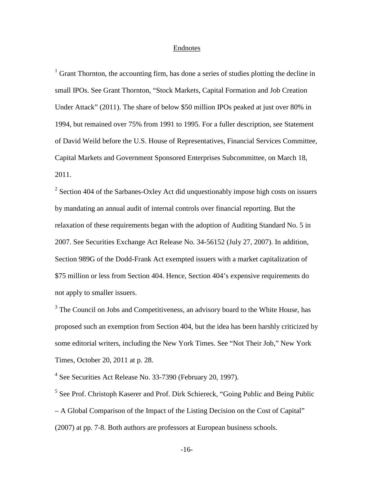## Endnotes

<span id="page-16-0"></span> $1$  Grant Thornton, the accounting firm, has done a series of studies plotting the decline in small IPOs. See Grant Thornton, "Stock Markets, Capital Formation and Job Creation Under Attack" (2011). The share of below \$50 million IPOs peaked at just over 80% in 1994, but remained over 75% from 1991 to 1995. For a fuller description, see Statement of David Weild before the U.S. House of Representatives, Financial Services Committee, Capital Markets and Government Sponsored Enterprises Subcommittee, on March 18, 2011.

<span id="page-16-1"></span> $2$  Section 404 of the Sarbanes-Oxley Act did unquestionably impose high costs on issuers by mandating an annual audit of internal controls over financial reporting. But the relaxation of these requirements began with the adoption of Auditing Standard No. 5 in 2007. See Securities Exchange Act Release No. 34-56152 (July 27, 2007). In addition, Section 989G of the Dodd-Frank Act exempted issuers with a market capitalization of \$75 million or less from Section 404. Hence, Section 404's expensive requirements do not apply to smaller issuers.

<span id="page-16-2"></span><sup>3</sup> The Council on Jobs and Competitiveness, an advisory board to the White House, has proposed such an exemption from Section 404, but the idea has been harshly criticized by some editorial writers, including the New York Times. See "Not Their Job," New York Times, October 20, 2011 at p. 28.

<span id="page-16-3"></span> $4$  See Securities Act Release No. 33-7390 (February 20, 1997).

<span id="page-16-4"></span><sup>5</sup> See Prof. Christoph Kaserer and Prof. Dirk Schiereck, "Going Public and Being Public – A Global Comparison of the Impact of the Listing Decision on the Cost of Capital" (2007) at pp. 7-8. Both authors are professors at European business schools.

-16-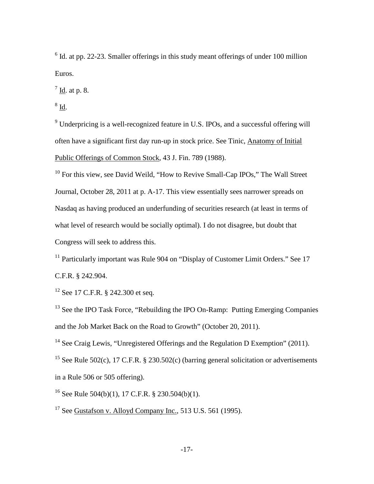<span id="page-17-0"></span> $6$  Id. at pp. 22-23. Smaller offerings in this study meant offerings of under 100 million Euros.

<span id="page-17-1"></span> $<sup>7</sup>$  Id. at p. 8.</sup>

<span id="page-17-2"></span> $8$  Id.

<span id="page-17-3"></span><sup>9</sup> Underpricing is a well-recognized feature in U.S. IPOs, and a successful offering will often have a significant first day run-up in stock price. See Tinic, Anatomy of Initial Public Offerings of Common Stock, 43 J. Fin. 789 (1988).

<span id="page-17-4"></span> $10$  For this view, see David Weild, "How to Revive Small-Cap IPOs," The Wall Street Journal, October 28, 2011 at p. A-17. This view essentially sees narrower spreads on Nasdaq as having produced an underfunding of securities research (at least in terms of what level of research would be socially optimal). I do not disagree, but doubt that Congress will seek to address this.

<span id="page-17-5"></span><sup>11</sup> Particularly important was Rule 904 on "Display of Customer Limit Orders." See 17 C.F.R. § 242.904.

<span id="page-17-6"></span><sup>12</sup> See 17 C.F.R. § 242.300 et seq.

<span id="page-17-7"></span><sup>13</sup> See the IPO Task Force, "Rebuilding the IPO On-Ramp: Putting Emerging Companies and the Job Market Back on the Road to Growth" (October 20, 2011).

<span id="page-17-8"></span><sup>14</sup> See Craig Lewis, "Unregistered Offerings and the Regulation D Exemption" (2011).

<span id="page-17-9"></span><sup>15</sup> See Rule 502(c), 17 C.F.R. § 230.502(c) (barring general solicitation or advertisements in a Rule 506 or 505 offering).

<span id="page-17-10"></span><sup>16</sup> See Rule 504(b)(1), 17 C.F.R. § 230.504(b)(1).

<span id="page-17-11"></span> $17$  See Gustafson v. Alloyd Company Inc., 513 U.S. 561 (1995).